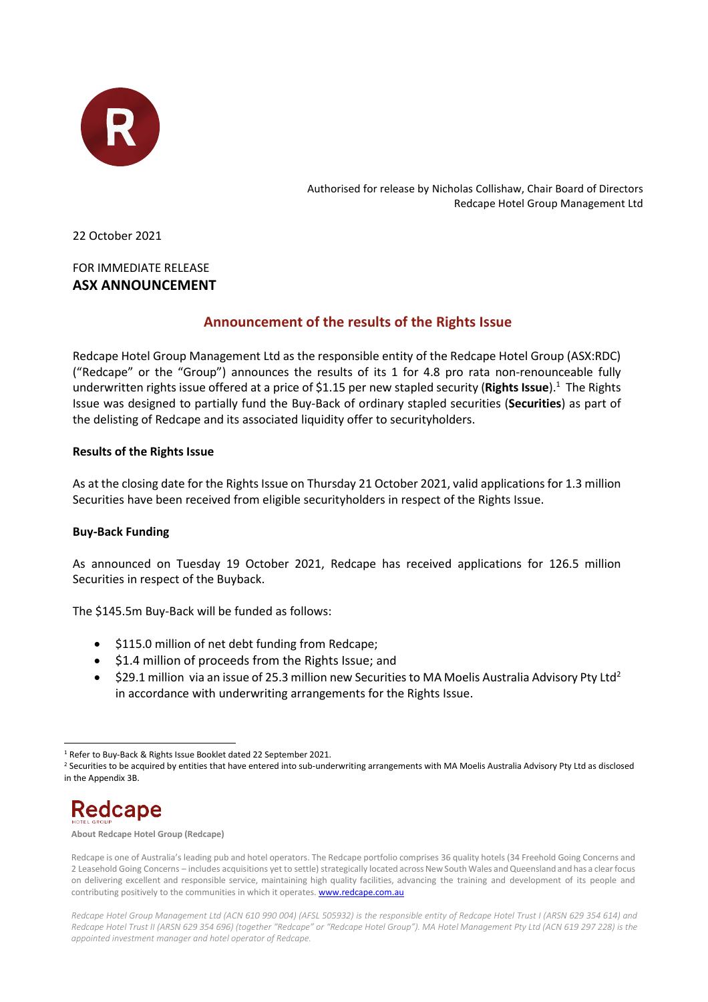

Authorised for release by Nicholas Collishaw, Chair Board of Directors Redcape Hotel Group Management Ltd

22 October 2021

## FOR IMMEDIATE RELEASE **ASX ANNOUNCEMENT**

# **Announcement of the results of the Rights Issue**

Redcape Hotel Group Management Ltd as the responsible entity of the Redcape Hotel Group (ASX:RDC) ("Redcape" or the "Group") announces the results of its 1 for 4.8 pro rata non-renounceable fully underwritten rights issue offered at a price of \$1.15 per new stapled security (**Rights Issue**).<sup>1</sup> The Rights Issue was designed to partially fund the Buy-Back of ordinary stapled securities (**Securities**) as part of the delisting of Redcape and its associated liquidity offer to securityholders.

### **Results of the Rights Issue**

As at the closing date for the Rights Issue on Thursday 21 October 2021, valid applications for 1.3 million Securities have been received from eligible securityholders in respect of the Rights Issue.

#### **Buy-Back Funding**

As announced on Tuesday 19 October 2021, Redcape has received applications for 126.5 million Securities in respect of the Buyback.

The \$145.5m Buy-Back will be funded as follows:

- \$115.0 million of net debt funding from Redcape;
- \$1.4 million of proceeds from the Rights Issue; and
- \$29.1 million via an issue of 25.3 million new Securities to MA Moelis Australia Advisory Pty Ltd<sup>2</sup> in accordance with underwriting arrangements for the Rights Issue.

<sup>&</sup>lt;sup>2</sup> Securities to be acquired by entities that have entered into sub-underwriting arrangements with MA Moelis Australia Advisory Pty Ltd as disclosed in the Appendix 3B.



**About Redcape Hotel Group (Redcape)**

<sup>1</sup> Refer to Buy-Back & Rights Issue Booklet dated 22 September 2021.

Redcape is one of Australia's leading pub and hotel operators. The Redcape portfolio comprises 36 quality hotels (34 Freehold Going Concerns and 2 Leasehold Going Concerns – includes acquisitions yet to settle) strategically located across New South Wales and Queensland and has a clear focus on delivering excellent and responsible service, maintaining high quality facilities, advancing the training and development of its people and contributing positively to the communities in which it operates. **www.redcape.com.au** 

*Redcape Hotel Group Management Ltd (ACN 610 990 004) (AFSL 505932) is the responsible entity of Redcape Hotel Trust I (ARSN 629 354 614) and Redcape Hotel Trust II (ARSN 629 354 696) (together "Redcape" or "Redcape Hotel Group"). MA Hotel Management Pty Ltd (ACN 619 297 228) is the appointed investment manager and hotel operator of Redcape.*